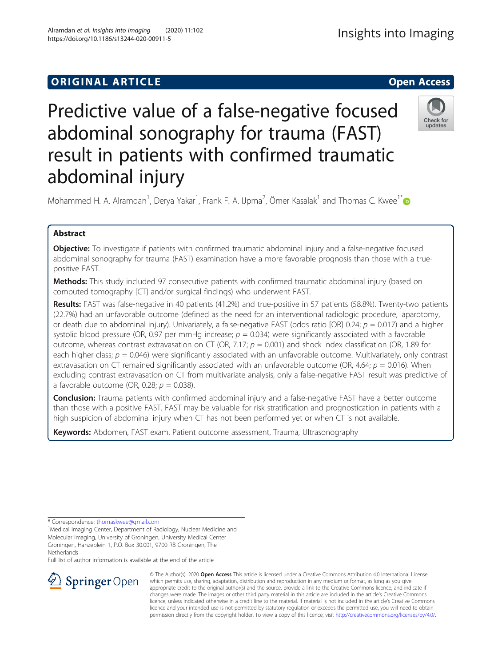# Predictive value of a false-negative focused abdominal sonography for trauma (FAST) result in patients with confirmed traumatic abdominal injury



Mohammed H. A. Alramdan<sup>1</sup>, Derya Yakar<sup>1</sup>, Frank F. A. IJpma<sup>2</sup>, Ömer Kasalak<sup>1</sup> and Thomas C. Kwee<sup>1[\\*](http://orcid.org/0000-0001-9005-8529)</sup>

# Abstract

Objective: To investigate if patients with confirmed traumatic abdominal injury and a false-negative focused abdominal sonography for trauma (FAST) examination have a more favorable prognosis than those with a truepositive FAST.

Methods: This study included 97 consecutive patients with confirmed traumatic abdominal injury (based on computed tomography [CT] and/or surgical findings) who underwent FAST.

Results: FAST was false-negative in 40 patients (41.2%) and true-positive in 57 patients (58.8%). Twenty-two patients (22.7%) had an unfavorable outcome (defined as the need for an interventional radiologic procedure, laparotomy, or death due to abdominal injury). Univariately, a false-negative FAST (odds ratio [OR] 0.24;  $p = 0.017$ ) and a higher systolic blood pressure (OR, 0.97 per mmHg increase;  $p = 0.034$ ) were significantly associated with a favorable outcome, whereas contrast extravasation on CT (OR, 7.17;  $p = 0.001$ ) and shock index classification (OR, 1.89 for each higher class;  $p = 0.046$ ) were significantly associated with an unfavorable outcome. Multivariately, only contrast extravasation on CT remained significantly associated with an unfavorable outcome (OR, 4.64;  $p = 0.016$ ). When excluding contrast extravasation on CT from multivariate analysis, only a false-negative FAST result was predictive of a favorable outcome (OR, 0.28;  $p = 0.038$ ).

**Conclusion:** Trauma patients with confirmed abdominal injury and a false-negative FAST have a better outcome than those with a positive FAST. FAST may be valuable for risk stratification and prognostication in patients with a high suspicion of abdominal injury when CT has not been performed yet or when CT is not available.

Keywords: Abdomen, FAST exam, Patient outcome assessment, Trauma, Ultrasonography

Full list of author information is available at the end of the article



© The Author(s). 2020 Open Access This article is licensed under a Creative Commons Attribution 4.0 International License, which permits use, sharing, adaptation, distribution and reproduction in any medium or format, as long as you give appropriate credit to the original author(s) and the source, provide a link to the Creative Commons licence, and indicate if changes were made. The images or other third party material in this article are included in the article's Creative Commons licence, unless indicated otherwise in a credit line to the material. If material is not included in the article's Creative Commons licence and your intended use is not permitted by statutory regulation or exceeds the permitted use, you will need to obtain permission directly from the copyright holder. To view a copy of this licence, visit <http://creativecommons.org/licenses/by/4.0/>.

<sup>\*</sup> Correspondence: [thomaskwee@gmail.com](mailto:thomaskwee@gmail.com) <sup>1</sup>

<sup>&</sup>lt;sup>1</sup>Medical Imaging Center, Department of Radiology, Nuclear Medicine and Molecular Imaging, University of Groningen, University Medical Center Groningen, Hanzeplein 1, P.O. Box 30.001, 9700 RB Groningen, The **Netherlands**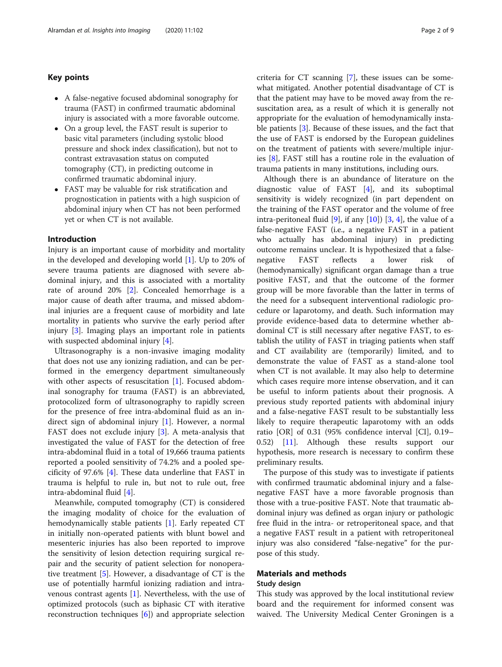# Key points

- A false-negative focused abdominal sonography for trauma (FAST) in confirmed traumatic abdominal injury is associated with a more favorable outcome.
- On a group level, the FAST result is superior to basic vital parameters (including systolic blood pressure and shock index classification), but not to contrast extravasation status on computed tomography (CT), in predicting outcome in confirmed traumatic abdominal injury.
- FAST may be valuable for risk stratification and prognostication in patients with a high suspicion of abdominal injury when CT has not been performed yet or when CT is not available.

# Introduction

Injury is an important cause of morbidity and mortality in the developed and developing world [[1\]](#page-8-0). Up to 20% of severe trauma patients are diagnosed with severe abdominal injury, and this is associated with a mortality rate of around 20% [[2](#page-8-0)]. Concealed hemorrhage is a major cause of death after trauma, and missed abdominal injuries are a frequent cause of morbidity and late mortality in patients who survive the early period after injury [\[3](#page-8-0)]. Imaging plays an important role in patients with suspected abdominal injury [[4\]](#page-8-0).

Ultrasonography is a non-invasive imaging modality that does not use any ionizing radiation, and can be performed in the emergency department simultaneously with other aspects of resuscitation [[1\]](#page-8-0). Focused abdominal sonography for trauma (FAST) is an abbreviated, protocolized form of ultrasonography to rapidly screen for the presence of free intra-abdominal fluid as an indirect sign of abdominal injury [\[1](#page-8-0)]. However, a normal FAST does not exclude injury [\[3](#page-8-0)]. A meta-analysis that investigated the value of FAST for the detection of free intra-abdominal fluid in a total of 19,666 trauma patients reported a pooled sensitivity of 74.2% and a pooled specificity of 97.6% [[4\]](#page-8-0). These data underline that FAST in trauma is helpful to rule in, but not to rule out, free intra-abdominal fluid [[4\]](#page-8-0).

Meanwhile, computed tomography (CT) is considered the imaging modality of choice for the evaluation of hemodynamically stable patients [\[1](#page-8-0)]. Early repeated CT in initially non-operated patients with blunt bowel and mesenteric injuries has also been reported to improve the sensitivity of lesion detection requiring surgical repair and the security of patient selection for nonoperative treatment [\[5](#page-8-0)]. However, a disadvantage of CT is the use of potentially harmful ionizing radiation and intravenous contrast agents [\[1](#page-8-0)]. Nevertheless, with the use of optimized protocols (such as biphasic CT with iterative reconstruction techniques [[6\]](#page-8-0)) and appropriate selection criteria for CT scanning [\[7](#page-8-0)], these issues can be somewhat mitigated. Another potential disadvantage of CT is that the patient may have to be moved away from the resuscitation area, as a result of which it is generally not appropriate for the evaluation of hemodynamically instable patients [\[3](#page-8-0)]. Because of these issues, and the fact that the use of FAST is endorsed by the European guidelines on the treatment of patients with severe/multiple injuries [\[8\]](#page-8-0), FAST still has a routine role in the evaluation of trauma patients in many institutions, including ours.

Although there is an abundance of literature on the diagnostic value of FAST [\[4](#page-8-0)], and its suboptimal sensitivity is widely recognized (in part dependent on the training of the FAST operator and the volume of free intra-peritoneal fluid  $[9]$  $[9]$ , if any  $[10]$  $[10]$   $[3, 4]$  $[3, 4]$  $[3, 4]$  $[3, 4]$ , the value of a false-negative FAST (i.e., a negative FAST in a patient who actually has abdominal injury) in predicting outcome remains unclear. It is hypothesized that a falsenegative FAST reflects a lower risk of (hemodynamically) significant organ damage than a true positive FAST, and that the outcome of the former group will be more favorable than the latter in terms of the need for a subsequent interventional radiologic procedure or laparotomy, and death. Such information may provide evidence-based data to determine whether abdominal CT is still necessary after negative FAST, to establish the utility of FAST in triaging patients when staff and CT availability are (temporarily) limited, and to demonstrate the value of FAST as a stand-alone tool when CT is not available. It may also help to determine which cases require more intense observation, and it can be useful to inform patients about their prognosis. A previous study reported patients with abdominal injury and a false-negative FAST result to be substantially less likely to require therapeutic laparotomy with an odds ratio [OR] of 0.31 (95% confidence interval [CI], 0.19– 0.52) [[11](#page-8-0)]. Although these results support our hypothesis, more research is necessary to confirm these preliminary results.

The purpose of this study was to investigate if patients with confirmed traumatic abdominal injury and a falsenegative FAST have a more favorable prognosis than those with a true-positive FAST. Note that traumatic abdominal injury was defined as organ injury or pathologic free fluid in the intra- or retroperitoneal space, and that a negative FAST result in a patient with retroperitoneal injury was also considered "false-negative" for the purpose of this study.

# Materials and methods

#### Study design

This study was approved by the local institutional review board and the requirement for informed consent was waived. The University Medical Center Groningen is a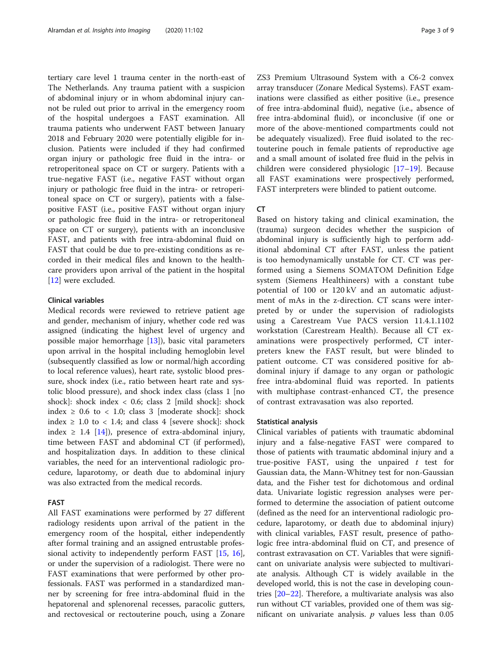tertiary care level 1 trauma center in the north-east of The Netherlands. Any trauma patient with a suspicion of abdominal injury or in whom abdominal injury cannot be ruled out prior to arrival in the emergency room of the hospital undergoes a FAST examination. All trauma patients who underwent FAST between January 2018 and February 2020 were potentially eligible for inclusion. Patients were included if they had confirmed organ injury or pathologic free fluid in the intra- or retroperitoneal space on CT or surgery. Patients with a true-negative FAST (i.e., negative FAST without organ injury or pathologic free fluid in the intra- or retroperitoneal space on CT or surgery), patients with a falsepositive FAST (i.e., positive FAST without organ injury or pathologic free fluid in the intra- or retroperitoneal space on CT or surgery), patients with an inconclusive FAST, and patients with free intra-abdominal fluid on FAST that could be due to pre-existing conditions as recorded in their medical files and known to the healthcare providers upon arrival of the patient in the hospital [[12\]](#page-8-0) were excluded.

# Clinical variables

Medical records were reviewed to retrieve patient age and gender, mechanism of injury, whether code red was assigned (indicating the highest level of urgency and possible major hemorrhage [\[13](#page-8-0)]), basic vital parameters upon arrival in the hospital including hemoglobin level (subsequently classified as low or normal/high according to local reference values), heart rate, systolic blood pressure, shock index (i.e., ratio between heart rate and systolic blood pressure), and shock index class (class 1 [no shock]: shock index < 0.6; class 2 [mild shock]: shock index  $\geq$  0.6 to < 1.0; class 3 [moderate shock]: shock index  $\geq$  1.0 to < 1.4; and class 4 [severe shock]: shock index  $\geq$  1.4 [\[14\]](#page-8-0)), presence of extra-abdominal injury, time between FAST and abdominal CT (if performed), and hospitalization days. In addition to these clinical variables, the need for an interventional radiologic procedure, laparotomy, or death due to abdominal injury was also extracted from the medical records.

#### FAST

All FAST examinations were performed by 27 different radiology residents upon arrival of the patient in the emergency room of the hospital, either independently after formal training and an assigned entrustable professional activity to independently perform FAST [\[15](#page-8-0), [16](#page-8-0)], or under the supervision of a radiologist. There were no FAST examinations that were performed by other professionals. FAST was performed in a standardized manner by screening for free intra-abdominal fluid in the hepatorenal and splenorenal recesses, paracolic gutters, and rectovesical or rectouterine pouch, using a Zonare ZS3 Premium Ultrasound System with a C6-2 convex array transducer (Zonare Medical Systems). FAST examinations were classified as either positive (i.e., presence of free intra-abdominal fluid), negative (i.e., absence of free intra-abdominal fluid), or inconclusive (if one or more of the above-mentioned compartments could not be adequately visualized). Free fluid isolated to the rectouterine pouch in female patients of reproductive age and a small amount of isolated free fluid in the pelvis in children were considered physiologic [\[17](#page-8-0)–[19\]](#page-8-0). Because all FAST examinations were prospectively performed, FAST interpreters were blinded to patient outcome.

#### CT

Based on history taking and clinical examination, the (trauma) surgeon decides whether the suspicion of abdominal injury is sufficiently high to perform additional abdominal CT after FAST, unless the patient is too hemodynamically unstable for CT. CT was performed using a Siemens SOMATOM Definition Edge system (Siemens Healthineers) with a constant tube potential of 100 or 120 kV and an automatic adjustment of mAs in the z-direction. CT scans were interpreted by or under the supervision of radiologists using a Carestream Vue PACS version 11.4.1.1102 workstation (Carestream Health). Because all CT examinations were prospectively performed, CT interpreters knew the FAST result, but were blinded to patient outcome. CT was considered positive for abdominal injury if damage to any organ or pathologic free intra-abdominal fluid was reported. In patients with multiphase contrast-enhanced CT, the presence of contrast extravasation was also reported.

#### Statistical analysis

Clinical variables of patients with traumatic abdominal injury and a false-negative FAST were compared to those of patients with traumatic abdominal injury and a true-positive FAST, using the unpaired  $t$  test for Gaussian data, the Mann-Whitney test for non-Gaussian data, and the Fisher test for dichotomous and ordinal data. Univariate logistic regression analyses were performed to determine the association of patient outcome (defined as the need for an interventional radiologic procedure, laparotomy, or death due to abdominal injury) with clinical variables, FAST result, presence of pathologic free intra-abdominal fluid on CT, and presence of contrast extravasation on CT. Variables that were significant on univariate analysis were subjected to multivariate analysis. Although CT is widely available in the developed world, this is not the case in developing countries [[20](#page-8-0)–[22\]](#page-8-0). Therefore, a multivariate analysis was also run without CT variables, provided one of them was significant on univariate analysis.  $p$  values less than 0.05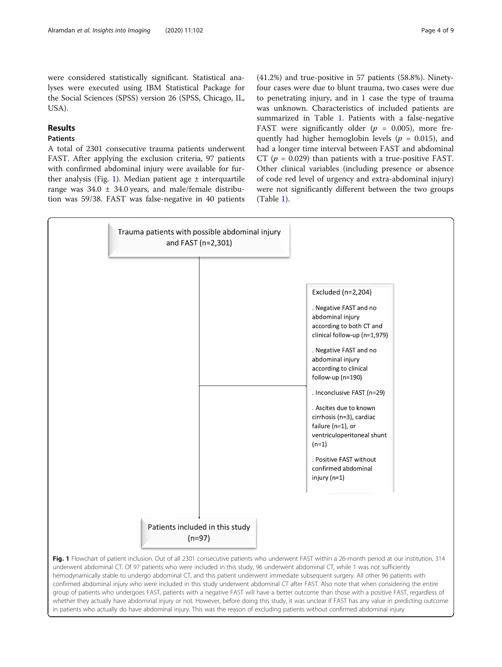were considered statistically significant. Statistical analyses were executed using IBM Statistical Package for the Social Sciences (SPSS) version 26 (SPSS, Chicago, IL, USA).

# Results

# Patients

A total of 2301 consecutive trauma patients underwent FAST. After applying the exclusion criteria, 97 patients with confirmed abdominal injury were available for further analysis (Fig. 1). Median patient age  $\pm$  interquartile range was  $34.0 \pm 34.0$  years, and male/female distribution was 59/38. FAST was false-negative in 40 patients

(41.2%) and true-positive in 57 patients (58.8%). Ninetyfour cases were due to blunt trauma, two cases were due to penetrating injury, and in 1 case the type of trauma was unknown. Characteristics of included patients are summarized in Table [1](#page-4-0). Patients with a false-negative FAST were significantly older ( $p = 0.005$ ), more frequently had higher hemoglobin levels ( $p = 0.015$ ), and had a longer time interval between FAST and abdominal CT ( $p = 0.029$ ) than patients with a true-positive FAST. Other clinical variables (including presence or absence of code red level of urgency and extra-abdominal injury) were not significantly different between the two groups (Table [1\)](#page-4-0).



in patients who actually do have abdominal injury. This was the reason of excluding patients without confirmed abdominal injury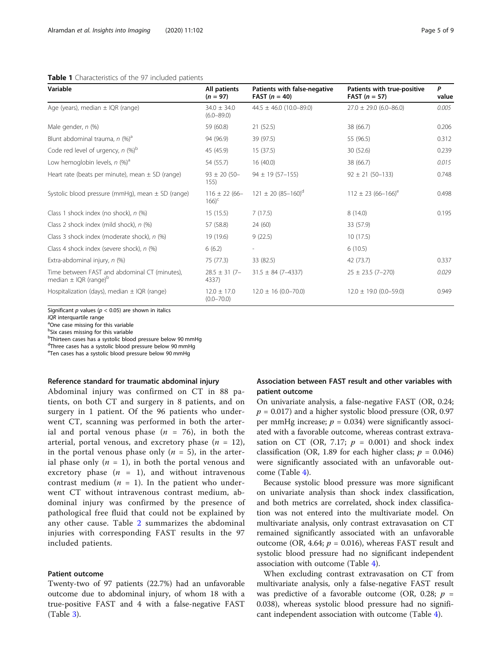#### <span id="page-4-0"></span>Table 1 Characteristics of the 97 included patients

| Variable                                                                               | All patients<br>$(n = 97)$              | Patients with false-negative<br><b>FAST</b> ( $n = 40$ ) | Patients with true-positive<br><b>FAST</b> ( $n = 57$ ) | P<br>value |
|----------------------------------------------------------------------------------------|-----------------------------------------|----------------------------------------------------------|---------------------------------------------------------|------------|
| Age (years), median ± IQR (range)                                                      | $34.0 \pm 34.0$<br>$(6.0 - 89.0)$       | $44.5 \pm 46.0$ (10.0-89.0)                              | $27.0 \pm 29.0$ (6.0-86.0)                              | 0.005      |
| Male gender, n (%)                                                                     | 59 (60.8)                               | 21(52.5)                                                 | 38 (66.7)                                               | 0.206      |
| Blunt abdominal trauma, $n$ (%) <sup>a</sup>                                           | 94 (96.9)                               | 39 (97.5)                                                | 55 (96.5)                                               | 0.312      |
| Code red level of urgency, $n$ (%) <sup>b</sup>                                        | 45 (45.9)                               | 15(37.5)                                                 | 30(52.6)                                                | 0.239      |
| Low hemoglobin levels, $n$ (%) <sup>a</sup>                                            | 54 (55.7)                               | 16(40.0)                                                 | 38 (66.7)                                               | 0.015      |
| Heart rate (beats per minute), mean $\pm$ SD (range)                                   | $93 \pm 20 (50 -$<br>155)               | $94 \pm 19(57 - 155)$                                    | $92 \pm 21 (50 - 133)$                                  | 0.748      |
| Systolic blood pressure (mmHg), mean $\pm$ SD (range)                                  | $116 \pm 22(66 -$<br>$166$ <sup>c</sup> | $121 \pm 20 (85 - 160)^d$                                | $112 \pm 23 (66 - 166)^e$                               | 0.498      |
| Class 1 shock index (no shock), n (%)                                                  | 15(15.5)                                | 7(17.5)                                                  | 8(14.0)                                                 | 0.195      |
| Class 2 shock index (mild shock), n (%)                                                | 57 (58.8)                               | 24 (60)                                                  | 33 (57.9)                                               |            |
| Class 3 shock index (moderate shock), n (%)                                            | 19 (19.6)                               | 9(22.5)                                                  | 10(17.5)                                                |            |
| Class 4 shock index (severe shock), n (%)                                              | 6(6.2)                                  |                                                          | 6(10.5)                                                 |            |
| Extra-abdominal injury, n (%)                                                          | 75 (77.3)                               | 33 (82.5)                                                | 42 (73.7)                                               | 0.337      |
| Time between FAST and abdominal CT (minutes),<br>median $\pm$ IQR (range) <sup>b</sup> | $28.5 \pm 31$ (7-<br>4337)              | $31.5 \pm 84 (7 - 4337)$                                 | $25 \pm 23.5$ (7-270)                                   | 0.029      |
| Hospitalization (days), median $\pm$ IQR (range)                                       | $12.0 \pm 17.0$<br>$(0.0 - 70.0)$       | $12.0 \pm 16 (0.0 - 70.0)$                               | $12.0 \pm 19.0$ (0.0-59.0)                              | 0.949      |

Significant  $p$  values ( $p < 0.05$ ) are shown in italics

 $IQR$  interquartile range

<sup>a</sup>One case missing for this variable

<sup>b</sup>Six cases missing for this variable

<sup>b</sup>Thirteen cases has a systolic blood pressure below 90 mmHg

<sup>d</sup>Three cases has a systolic blood pressure below 90 mmHg

<sup>e</sup>Ten cases has a systolic blood pressure below 90 mmHg

#### Reference standard for traumatic abdominal injury

Abdominal injury was confirmed on CT in 88 patients, on both CT and surgery in 8 patients, and on surgery in 1 patient. Of the 96 patients who underwent CT, scanning was performed in both the arterial and portal venous phase  $(n = 76)$ , in both the arterial, portal venous, and excretory phase  $(n = 12)$ , in the portal venous phase only ( $n = 5$ ), in the arterial phase only  $(n = 1)$ , in both the portal venous and excretory phase  $(n = 1)$ , and without intravenous contrast medium  $(n = 1)$ . In the patient who underwent CT without intravenous contrast medium, abdominal injury was confirmed by the presence of pathological free fluid that could not be explained by any other cause. Table [2](#page-5-0) summarizes the abdominal injuries with corresponding FAST results in the 97 included patients.

### Patient outcome

Twenty-two of 97 patients (22.7%) had an unfavorable outcome due to abdominal injury, of whom 18 with a true-positive FAST and 4 with a false-negative FAST (Table [3\)](#page-5-0).

# Association between FAST result and other variables with patient outcome

On univariate analysis, a false-negative FAST (OR, 0.24;  $p = 0.017$ ) and a higher systolic blood pressure (OR, 0.97 per mmHg increase;  $p = 0.034$ ) were significantly associated with a favorable outcome, whereas contrast extravasation on CT (OR, 7.17;  $p = 0.001$ ) and shock index classification (OR, 1.89 for each higher class;  $p = 0.046$ ) were significantly associated with an unfavorable outcome (Table [4\)](#page-6-0).

Because systolic blood pressure was more significant on univariate analysis than shock index classification, and both metrics are correlated, shock index classification was not entered into the multivariate model. On multivariate analysis, only contrast extravasation on CT remained significantly associated with an unfavorable outcome (OR, 4.64;  $p = 0.016$ ), whereas FAST result and systolic blood pressure had no significant independent association with outcome (Table [4\)](#page-6-0).

When excluding contrast extravasation on CT from multivariate analysis, only a false-negative FAST result was predictive of a favorable outcome (OR, 0.28;  $p =$ 0.038), whereas systolic blood pressure had no significant independent association with outcome (Table [4\)](#page-6-0).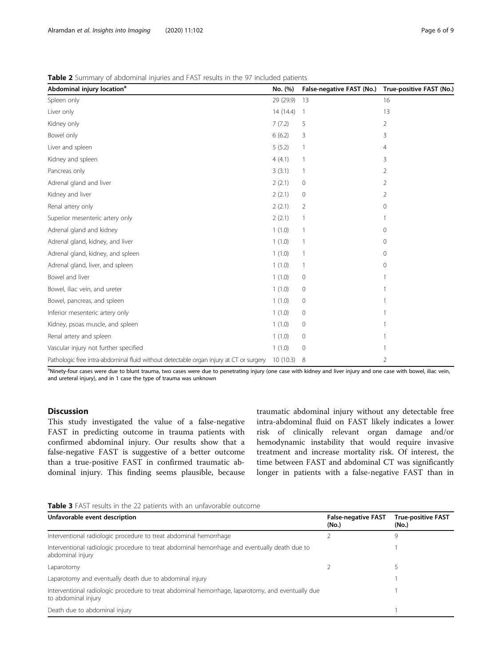#### <span id="page-5-0"></span>Table 2 Summary of abdominal injuries and FAST results in the 97 included patients

| Abdominal injury location <sup>a</sup>                                                 | No. (%)      | False-negative FAST (No.) True-positive FAST (No.) |    |
|----------------------------------------------------------------------------------------|--------------|----------------------------------------------------|----|
| Spleen only                                                                            | 29 (29.9)    | 13                                                 | 16 |
| Liver only                                                                             | 14(14.4)     | 1                                                  | 13 |
| Kidney only                                                                            | 7(7.2)       | 5                                                  | 2  |
| Bowel only                                                                             | 6(6.2)       | 3                                                  | 3  |
| Liver and spleen                                                                       | 5(5.2)       |                                                    | 4  |
| Kidney and spleen                                                                      | 4(4.1)       | 1                                                  | 3  |
| Pancreas only                                                                          | 3(3.1)       | 1                                                  | 2  |
| Adrenal gland and liver                                                                | 2(2.1)       | $\mathbf{0}$                                       | 2  |
| Kidney and liver                                                                       | 2(2.1)       | 0                                                  | 2  |
| Renal artery only                                                                      | 2(2.1)       | $\overline{2}$                                     | 0  |
| Superior mesenteric artery only                                                        | 2(2.1)       | 1                                                  |    |
| Adrenal gland and kidney                                                               | 1(1.0)       | 1                                                  | 0  |
| Adrenal gland, kidney, and liver                                                       | 1(1.0)       |                                                    | 0  |
| Adrenal gland, kidney, and spleen                                                      | 1(1.0)       |                                                    | 0  |
| Adrenal gland, liver, and spleen                                                       | 1(1.0)       | 1                                                  | 0  |
| Bowel and liver                                                                        | 1(1.0)       | $\mathbf 0$                                        |    |
| Bowel, iliac vein, and ureter                                                          | 1(1.0)       | $\mathbf{0}$                                       |    |
| Bowel, pancreas, and spleen                                                            | 1(1.0)       | $\mathbf{0}$                                       |    |
| Inferior mesenteric artery only                                                        | 1(1.0)       | $\mathbf 0$                                        |    |
| Kidney, psoas muscle, and spleen                                                       | 1(1.0)       | $\mathbf 0$                                        |    |
| Renal artery and spleen                                                                | 1(1.0)       | $\mathbf 0$                                        |    |
| Vascular injury not further specified                                                  | 1(1.0)       | $\mathbf 0$                                        |    |
| Pathologic free intra-abdominal fluid without detectable organ injury at CT or surgery | $10(10.3)$ 8 |                                                    | 2  |

<sup>a</sup>Ninety-four cases were due to blunt trauma, two cases were due to penetrating injury (one case with kidney and liver injury and one case with bowel, iliac vein, and ureteral injury), and in 1 case the type of trauma was unknown

# **Discussion**

This study investigated the value of a false-negative FAST in predicting outcome in trauma patients with confirmed abdominal injury. Our results show that a false-negative FAST is suggestive of a better outcome than a true-positive FAST in confirmed traumatic abdominal injury. This finding seems plausible, because traumatic abdominal injury without any detectable free intra-abdominal fluid on FAST likely indicates a lower risk of clinically relevant organ damage and/or hemodynamic instability that would require invasive treatment and increase mortality risk. Of interest, the time between FAST and abdominal CT was significantly longer in patients with a false-negative FAST than in

| Table 3 FAST results in the 22 patients with an unfavorable outcome |  |  |  |
|---------------------------------------------------------------------|--|--|--|
|---------------------------------------------------------------------|--|--|--|

| Unfavorable event description                                                                                            | <b>False-negative FAST</b><br>(No.) | <b>True-positive FAST</b><br>(No.) |
|--------------------------------------------------------------------------------------------------------------------------|-------------------------------------|------------------------------------|
| Interventional radiologic procedure to treat abdominal hemorrhage                                                        |                                     | 9                                  |
| Interventional radiologic procedure to treat abdominal hemorrhage and eventually death due to<br>abdominal injury        |                                     |                                    |
| Laparotomy                                                                                                               |                                     |                                    |
| Laparotomy and eventually death due to abdominal injury                                                                  |                                     |                                    |
| Interventional radiologic procedure to treat abdominal hemorrhage, laparotomy, and eventually due<br>to abdominal injury |                                     |                                    |
| Death due to abdominal injury                                                                                            |                                     |                                    |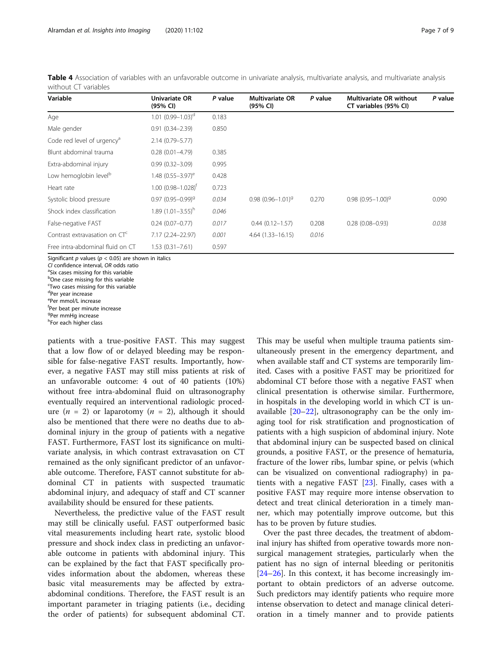<span id="page-6-0"></span>

|                      | Table 4 Association of variables with an unfavorable outcome in univariate analysis, multivariate analysis, and multivariate analysis |  |  |  |  |  |
|----------------------|---------------------------------------------------------------------------------------------------------------------------------------|--|--|--|--|--|
| without CT variables |                                                                                                                                       |  |  |  |  |  |

| Variable                               | Univariate OR<br>(95% CI)       | P value | <b>Multivariate OR</b><br>(95% CI) | P value | <b>Multivariate OR without</b><br>CT variables (95% CI) | P value |
|----------------------------------------|---------------------------------|---------|------------------------------------|---------|---------------------------------------------------------|---------|
| Age                                    | $1.01 (0.99 - 1.03)^d$          | 0.183   |                                    |         |                                                         |         |
| Male gender                            | $0.91(0.34 - 2.39)$             | 0.850   |                                    |         |                                                         |         |
| Code red level of urgency <sup>a</sup> | 2.14 (0.79 - 5.77)              |         |                                    |         |                                                         |         |
| Blunt abdominal trauma                 | $0.28(0.01 - 4.79)$             | 0.385   |                                    |         |                                                         |         |
| Extra-abdominal injury                 | $0.99(0.32 - 3.09)$             | 0.995   |                                    |         |                                                         |         |
| Low hemoglobin level <sup>b</sup>      | 1.48 $(0.55 - 3.97)^e$          | 0.428   |                                    |         |                                                         |         |
| Heart rate                             | $1.00(0.98 - 1.028)^f$          | 0.723   |                                    |         |                                                         |         |
| Systolic blood pressure                | $0.97$ (0.95-0.99) <sup>9</sup> | 0.034   | $0.98(0.96 - 1.01)^9$              | 0.270   | $0.98(0.95 - 1.00)^9$                                   | 0.090   |
| Shock index classification             | $1.89(1.01 - 3.55)^h$           | 0.046   |                                    |         |                                                         |         |
| False-negative FAST                    | $0.24(0.07 - 0.77)$             | 0.017   | $0.44(0.12 - 1.57)$                | 0.208   | $0.28(0.08 - 0.93)$                                     | 0.038   |
| Contrast extravasation on $CT^c$       | 7.17 (2.24-22.97)               | 0.001   | $4.64(1.33 - 16.15)$               | 0.016   |                                                         |         |
| Free intra-abdominal fluid on CT       | $1.53(0.31 - 7.61)$             | 0.597   |                                    |         |                                                         |         |

Significant p values ( $p < 0.05$ ) are shown in italics

CL confidence interval, OR odds ratio

<sup>a</sup>Six cases missing for this variable

**b**One case missing for this variable c Two cases missing for this variable

<sup>d</sup>Per year increase

eper mmol/L increase

f Per beat per minute increase

<sup>g</sup>Per mmHg increase

hFor each higher class

patients with a true-positive FAST. This may suggest that a low flow of or delayed bleeding may be responsible for false-negative FAST results. Importantly, however, a negative FAST may still miss patients at risk of an unfavorable outcome: 4 out of 40 patients (10%) without free intra-abdominal fluid on ultrasonography eventually required an interventional radiologic procedure  $(n = 2)$  or laparotomy  $(n = 2)$ , although it should also be mentioned that there were no deaths due to abdominal injury in the group of patients with a negative FAST. Furthermore, FAST lost its significance on multivariate analysis, in which contrast extravasation on CT remained as the only significant predictor of an unfavorable outcome. Therefore, FAST cannot substitute for abdominal CT in patients with suspected traumatic abdominal injury, and adequacy of staff and CT scanner availability should be ensured for these patients.

Nevertheless, the predictive value of the FAST result may still be clinically useful. FAST outperformed basic vital measurements including heart rate, systolic blood pressure and shock index class in predicting an unfavorable outcome in patients with abdominal injury. This can be explained by the fact that FAST specifically provides information about the abdomen, whereas these basic vital measurements may be affected by extraabdominal conditions. Therefore, the FAST result is an important parameter in triaging patients (i.e., deciding the order of patients) for subsequent abdominal CT.

This may be useful when multiple trauma patients simultaneously present in the emergency department, and when available staff and CT systems are temporarily limited. Cases with a positive FAST may be prioritized for abdominal CT before those with a negative FAST when clinical presentation is otherwise similar. Furthermore, in hospitals in the developing world in which CT is unavailable  $[20-22]$  $[20-22]$  $[20-22]$ , ultrasonography can be the only imaging tool for risk stratification and prognostication of patients with a high suspicion of abdominal injury. Note that abdominal injury can be suspected based on clinical grounds, a positive FAST, or the presence of hematuria, fracture of the lower ribs, lumbar spine, or pelvis (which can be visualized on conventional radiography) in patients with a negative FAST [[23\]](#page-8-0). Finally, cases with a positive FAST may require more intense observation to detect and treat clinical deterioration in a timely manner, which may potentially improve outcome, but this has to be proven by future studies.

Over the past three decades, the treatment of abdominal injury has shifted from operative towards more nonsurgical management strategies, particularly when the patient has no sign of internal bleeding or peritonitis [[24](#page-8-0)–[26](#page-8-0)]. In this context, it has become increasingly important to obtain predictors of an adverse outcome. Such predictors may identify patients who require more intense observation to detect and manage clinical deterioration in a timely manner and to provide patients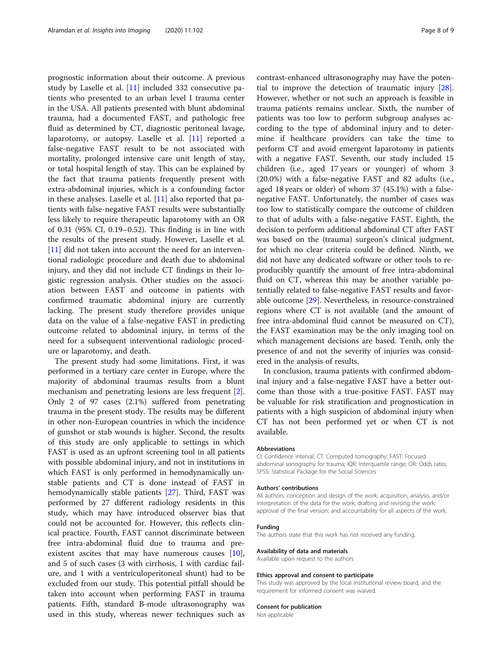prognostic information about their outcome. A previous study by Laselle et al. [\[11\]](#page-8-0) included 332 consecutive patients who presented to an urban level I trauma center in the USA. All patients presented with blunt abdominal trauma, had a documented FAST, and pathologic free fluid as determined by CT, diagnostic peritoneal lavage, laparotomy, or autopsy. Laselle et al. [\[11](#page-8-0)] reported a false-negative FAST result to be not associated with mortality, prolonged intensive care unit length of stay, or total hospital length of stay. This can be explained by the fact that trauma patients frequently present with extra-abdominal injuries, which is a confounding factor in these analyses. Laselle et al. [[11\]](#page-8-0) also reported that patients with false-negative FAST results were substantially less likely to require therapeutic laparotomy with an OR of 0.31 (95% CI, 0.19–0.52). This finding is in line with the results of the present study. However, Laselle et al. [[11\]](#page-8-0) did not taken into account the need for an interventional radiologic procedure and death due to abdominal injury, and they did not include CT findings in their logistic regression analysis. Other studies on the association between FAST and outcome in patients with confirmed traumatic abdominal injury are currently lacking. The present study therefore provides unique data on the value of a false-negative FAST in predicting outcome related to abdominal injury, in terms of the need for a subsequent interventional radiologic procedure or laparotomy, and death.

The present study had some limitations. First, it was performed in a tertiary care center in Europe, where the majority of abdominal traumas results from a blunt mechanism and penetrating lesions are less frequent [\[2](#page-8-0)]. Only 2 of 97 cases (2.1%) suffered from penetrating trauma in the present study. The results may be different in other non-European countries in which the incidence of gunshot or stab wounds is higher. Second, the results of this study are only applicable to settings in which FAST is used as an upfront screening tool in all patients with possible abdominal injury, and not in institutions in which FAST is only performed in hemodynamically unstable patients and CT is done instead of FAST in hemodynamically stable patients [\[27\]](#page-8-0). Third, FAST was performed by 27 different radiology residents in this study, which may have introduced observer bias that could not be accounted for. However, this reflects clinical practice. Fourth, FAST cannot discriminate between free intra-abdominal fluid due to trauma and preexistent ascites that may have numerous causes  $[10]$  $[10]$ , and 5 of such cases (3 with cirrhosis, 1 with cardiac failure, and 1 with a ventriculoperitoneal shunt) had to be excluded from our study. This potential pitfall should be taken into account when performing FAST in trauma patients. Fifth, standard B-mode ultrasonography was used in this study, whereas newer techniques such as contrast-enhanced ultrasonography may have the potential to improve the detection of traumatic injury [\[28](#page-8-0)]. However, whether or not such an approach is feasible in trauma patients remains unclear. Sixth, the number of patients was too low to perform subgroup analyses according to the type of abdominal injury and to determine if healthcare providers can take the time to perform CT and avoid emergent laparotomy in patients with a negative FAST. Seventh, our study included 15 children (i.e., aged 17 years or younger) of whom 3 (20.0%) with a false-negative FAST and 82 adults (i.e., aged 18 years or older) of whom 37 (45.1%) with a falsenegative FAST. Unfortunately, the number of cases was too low to statistically compare the outcome of children to that of adults with a false-negative FAST. Eighth, the decision to perform additional abdominal CT after FAST was based on the (trauma) surgeon's clinical judgment, for which no clear criteria could be defined. Ninth, we did not have any dedicated software or other tools to reproducibly quantify the amount of free intra-abdominal fluid on CT, whereas this may be another variable potentially related to false-negative FAST results and favorable outcome [\[29](#page-8-0)]. Nevertheless, in resource-constrained regions where CT is not available (and the amount of free intra-abdominal fluid cannot be measured on CT), the FAST examination may be the only imaging tool on which management decisions are based. Tenth, only the presence of and not the severity of injuries was considered in the analysis of results.

In conclusion, trauma patients with confirmed abdominal injury and a false-negative FAST have a better outcome than those with a true-positive FAST. FAST may be valuable for risk stratification and prognostication in patients with a high suspicion of abdominal injury when CT has not been performed yet or when CT is not available.

#### Abbreviations

CI: Confidence interval; CT: Computed tomography; FAST: Focused abdominal sonography for trauma; IQR: Interquartile range; OR: Odds ratio; SPSS: Statistical Package for the Social Sciences

#### Authors' contributions

All authors: conception and design of the work; acquisition, analysis, and/or interpretation of the data for the work; drafting and revising the work; approval of the final version; and accountability for all aspects of the work.

#### Funding

The authors state that this work has not received any funding.

#### Availability of data and materials

Available upon request to the authors

#### Ethics approval and consent to participate

This study was approved by the local institutional review board, and the requirement for informed consent was waived.

#### Consent for publication

Not applicable